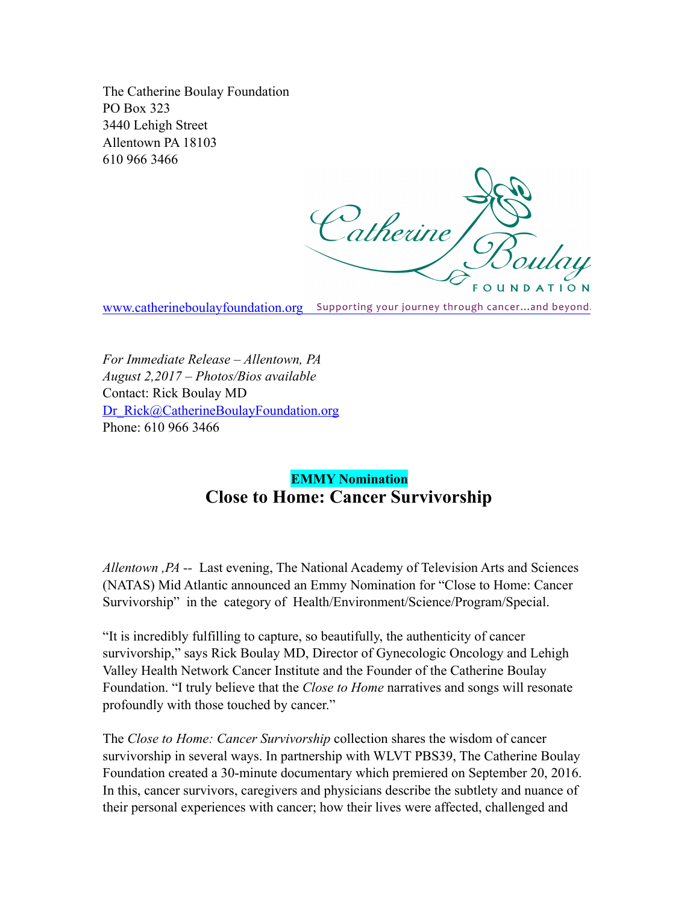The Catherine Boulay Foundation PO Box 323 3440 Lehigh Street Allentown PA 18103 610 966 3466

Catherine J **OUNDATION** 

[www.catherineboulayfoundation.org](http://www.catherineboulayfoundation.org) Supporting your journey through cancer...and beyond.

*For Immediate Release – Allentown, PA August 2,2017 – Photos/Bios available*  Contact: Rick Boulay MD [Dr\\_Rick@CatherineBoulayFoundation.org](mailto:Dr_Rick@CatherineBoulayFoundation.org) Phone: 610 966 3466

## **EMMY Nomination Close to Home: Cancer Survivorship**

*Allentown ,PA --* Last evening, The National Academy of Television Arts and Sciences (NATAS) Mid Atlantic announced an Emmy Nomination for "Close to Home: Cancer Survivorship" in the category of Health/Environment/Science/Program/Special.

"It is incredibly fulfilling to capture, so beautifully, the authenticity of cancer survivorship," says Rick Boulay MD, Director of Gynecologic Oncology and Lehigh Valley Health Network Cancer Institute and the Founder of the Catherine Boulay Foundation. "I truly believe that the *Close to Home* narratives and songs will resonate profoundly with those touched by cancer."

The *Close to Home: Cancer Survivorship* collection shares the wisdom of cancer survivorship in several ways. In partnership with WLVT PBS39, The Catherine Boulay Foundation created a 30-minute documentary which premiered on September 20, 2016. In this, cancer survivors, caregivers and physicians describe the subtlety and nuance of their personal experiences with cancer; how their lives were affected, challenged and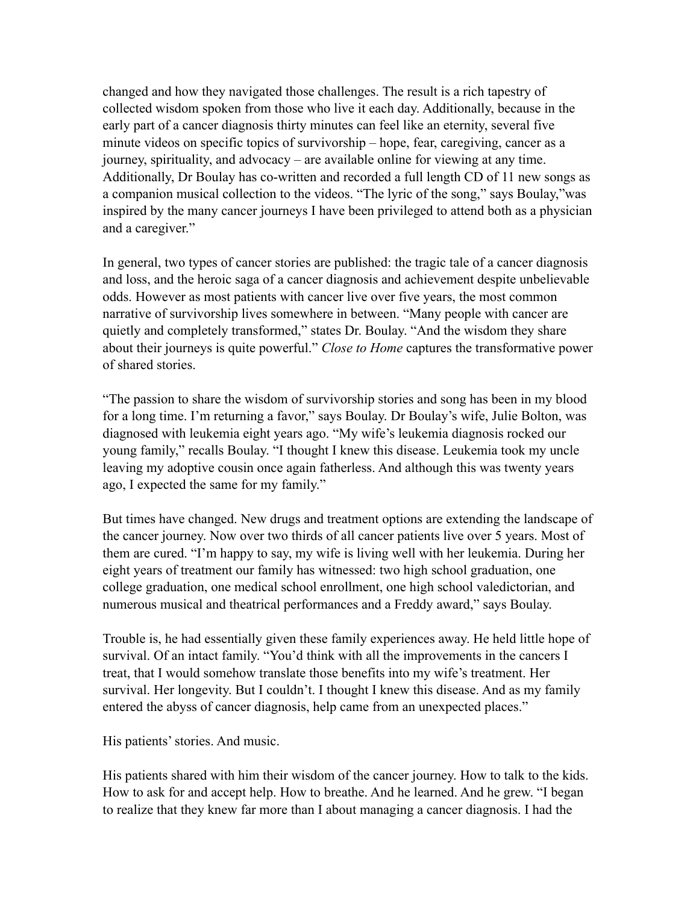changed and how they navigated those challenges. The result is a rich tapestry of collected wisdom spoken from those who live it each day. Additionally, because in the early part of a cancer diagnosis thirty minutes can feel like an eternity, several five minute videos on specific topics of survivorship – hope, fear, caregiving, cancer as a journey, spirituality, and advocacy – are available online for viewing at any time. Additionally, Dr Boulay has co-written and recorded a full length CD of 11 new songs as a companion musical collection to the videos. "The lyric of the song," says Boulay,"was inspired by the many cancer journeys I have been privileged to attend both as a physician and a caregiver."

In general, two types of cancer stories are published: the tragic tale of a cancer diagnosis and loss, and the heroic saga of a cancer diagnosis and achievement despite unbelievable odds. However as most patients with cancer live over five years, the most common narrative of survivorship lives somewhere in between. "Many people with cancer are quietly and completely transformed," states Dr. Boulay. "And the wisdom they share about their journeys is quite powerful." *Close to Home* captures the transformative power of shared stories.

"The passion to share the wisdom of survivorship stories and song has been in my blood for a long time. I'm returning a favor," says Boulay. Dr Boulay's wife, Julie Bolton, was diagnosed with leukemia eight years ago. "My wife's leukemia diagnosis rocked our young family," recalls Boulay. "I thought I knew this disease. Leukemia took my uncle leaving my adoptive cousin once again fatherless. And although this was twenty years ago, I expected the same for my family."

But times have changed. New drugs and treatment options are extending the landscape of the cancer journey. Now over two thirds of all cancer patients live over 5 years. Most of them are cured. "I'm happy to say, my wife is living well with her leukemia. During her eight years of treatment our family has witnessed: two high school graduation, one college graduation, one medical school enrollment, one high school valedictorian, and numerous musical and theatrical performances and a Freddy award," says Boulay.

Trouble is, he had essentially given these family experiences away. He held little hope of survival. Of an intact family. "You'd think with all the improvements in the cancers I treat, that I would somehow translate those benefits into my wife's treatment. Her survival. Her longevity. But I couldn't. I thought I knew this disease. And as my family entered the abyss of cancer diagnosis, help came from an unexpected places."

His patients' stories. And music.

His patients shared with him their wisdom of the cancer journey. How to talk to the kids. How to ask for and accept help. How to breathe. And he learned. And he grew. "I began to realize that they knew far more than I about managing a cancer diagnosis. I had the